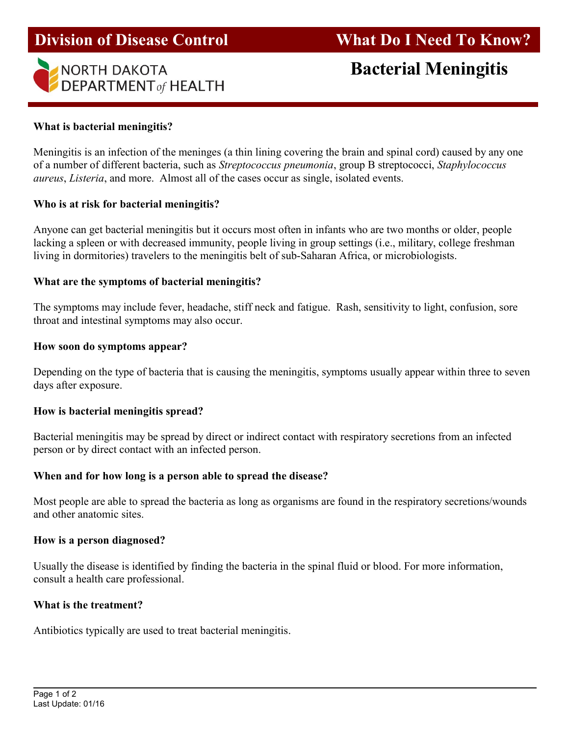



# What is bacterial meningitis?

Meningitis is an infection of the meninges (a thin lining covering the brain and spinal cord) caused by any one of a number of different bacteria, such as Streptococcus pneumonia, group B streptococci, Staphylococcus aureus, Listeria, and more. Almost all of the cases occur as single, isolated events.

## Who is at risk for bacterial meningitis?

Anyone can get bacterial meningitis but it occurs most often in infants who are two months or older, people lacking a spleen or with decreased immunity, people living in group settings (i.e., military, college freshman living in dormitories) travelers to the meningitis belt of sub-Saharan Africa, or microbiologists.

## What are the symptoms of bacterial meningitis?

The symptoms may include fever, headache, stiff neck and fatigue. Rash, sensitivity to light, confusion, sore throat and intestinal symptoms may also occur.

### How soon do symptoms appear?

Depending on the type of bacteria that is causing the meningitis, symptoms usually appear within three to seven days after exposure.

## How is bacterial meningitis spread?

Bacterial meningitis may be spread by direct or indirect contact with respiratory secretions from an infected person or by direct contact with an infected person.

## When and for how long is a person able to spread the disease?

Most people are able to spread the bacteria as long as organisms are found in the respiratory secretions/wounds and other anatomic sites.

### How is a person diagnosed?

Usually the disease is identified by finding the bacteria in the spinal fluid or blood. For more information, consult a health care professional.

## What is the treatment?

Antibiotics typically are used to treat bacterial meningitis.